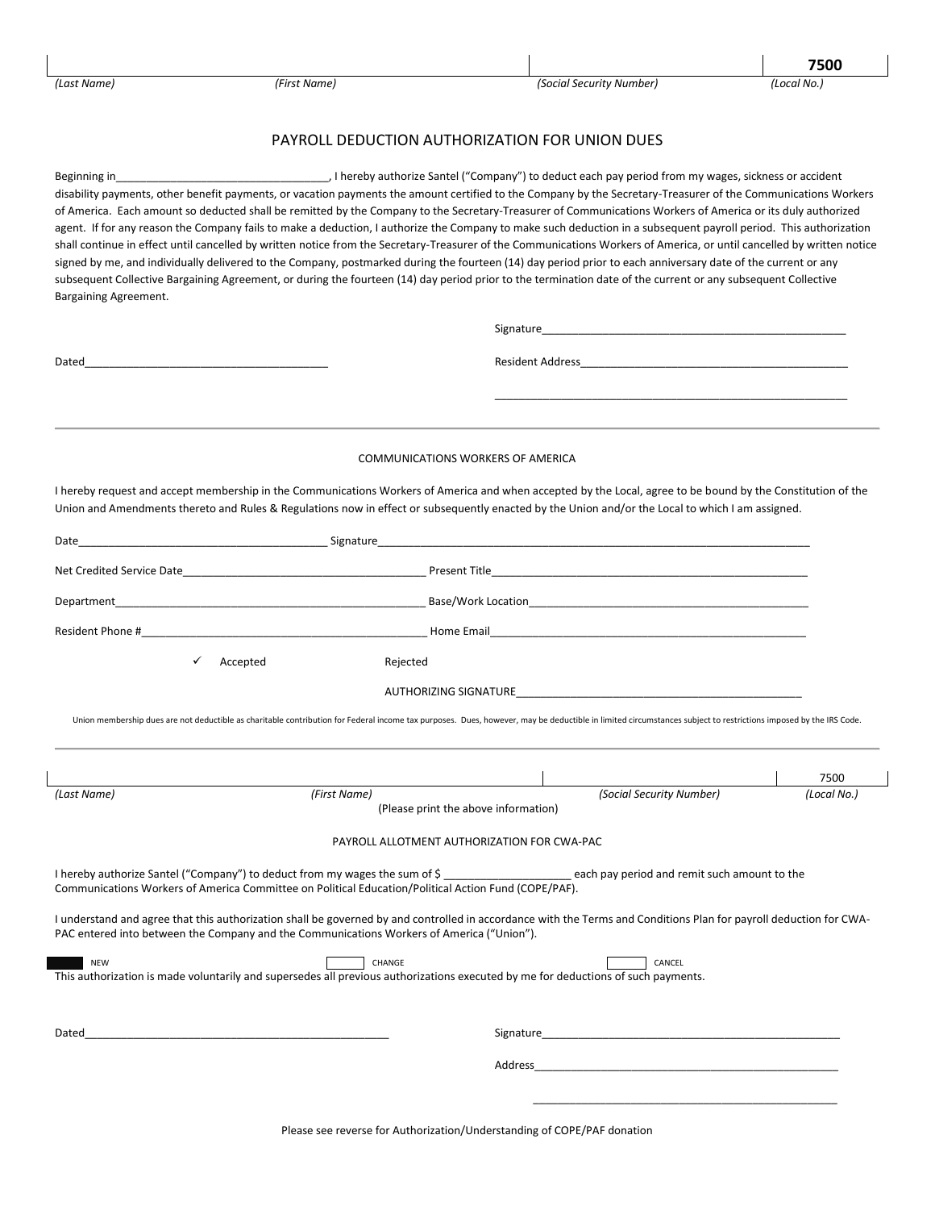**7500**

## PAYROLL DEDUCTION AUTHORIZATION FOR UNION DUES

Beginning in\_\_\_\_\_\_\_\_\_\_\_\_\_\_\_\_\_\_\_\_\_\_\_\_\_\_\_\_\_\_\_\_\_\_\_, I hereby authorize Santel ("Company") to deduct each pay period from my wages, sickness or accident disability payments, other benefit payments, or vacation payments the amount certified to the Company by the Secretary-Treasurer of the Communications Workers of America. Each amount so deducted shall be remitted by the Company to the Secretary-Treasurer of Communications Workers of America or its duly authorized agent. If for any reason the Company fails to make a deduction, I authorize the Company to make such deduction in a subsequent payroll period. This authorization shall continue in effect until cancelled by written notice from the Secretary-Treasurer of the Communications Workers of America, or until cancelled by written notice signed by me, and individually delivered to the Company, postmarked during the fourteen (14) day period prior to each anniversary date of the current or any subsequent Collective Bargaining Agreement, or during the fourteen (14) day period prior to the termination date of the current or any subsequent Collective Bargaining Agreement. Signature\_\_\_\_\_\_\_\_\_\_\_\_\_\_\_\_\_\_\_\_\_\_\_\_\_\_\_\_\_\_\_\_\_\_\_\_\_\_\_\_\_\_\_\_\_\_\_\_\_\_ Dated\_\_\_\_\_\_\_\_\_\_\_\_\_\_\_\_\_\_\_\_\_\_\_\_\_\_\_\_\_\_\_\_\_\_\_\_\_\_\_\_ Resident Address\_\_\_\_\_\_\_\_\_\_\_\_\_\_\_\_\_\_\_\_\_\_\_\_\_\_\_\_\_\_\_\_\_\_\_\_\_\_\_\_\_\_\_\_ \_\_\_\_\_\_\_\_\_\_\_\_\_\_\_\_\_\_\_\_\_\_\_\_\_\_\_\_\_\_\_\_\_\_\_\_\_\_\_\_\_\_\_\_\_\_\_\_\_\_\_\_\_\_\_\_\_\_ COMMUNICATIONS WORKERS OF AMERICA I hereby request and accept membership in the Communications Workers of America and when accepted by the Local, agree to be bound by the Constitution of the Union and Amendments thereto and Rules & Regulations now in effect or subsequently enacted by the Union and/or the Local to which I am assigned. Date\_\_\_\_\_\_\_\_\_\_\_\_\_\_\_\_\_\_\_\_\_\_\_\_\_\_\_\_\_\_\_\_\_\_\_\_\_\_\_\_\_ Signature\_\_\_\_\_\_\_\_\_\_\_\_\_\_\_\_\_\_\_\_\_\_\_\_\_\_\_\_\_\_\_\_\_\_\_\_\_\_\_\_\_\_\_\_\_\_\_\_\_\_\_\_\_\_\_\_\_\_\_\_\_\_\_\_\_\_\_\_\_\_\_ Net Credited Service Date\_\_\_\_\_\_\_\_\_\_\_\_\_\_\_\_\_\_\_\_\_\_\_\_\_\_\_\_\_\_\_\_\_\_\_\_\_\_\_\_ Present Title\_\_\_\_\_\_\_\_\_\_\_\_\_\_\_\_\_\_\_\_\_\_\_\_\_\_\_\_\_\_\_\_\_\_\_\_\_\_\_\_\_\_\_\_\_\_\_\_\_\_\_\_ Department **Department Department Department Department Department Department Department Department Department Department Department Department Department Department Department Department De** Resident Phone #\_\_\_\_\_\_\_\_\_\_\_\_\_\_\_\_\_\_\_\_\_\_\_\_\_\_\_\_\_\_\_\_\_\_\_\_\_\_\_\_\_\_\_\_\_\_\_ Home Email\_\_\_\_\_\_\_\_\_\_\_\_\_\_\_\_\_\_\_\_\_\_\_\_\_\_\_\_\_\_\_\_\_\_\_\_\_\_\_\_\_\_\_\_\_\_\_\_\_\_\_\_ Accepted Rejected AUTHORIZING SIGNATURE\_\_\_\_\_\_\_\_\_\_\_\_\_\_\_\_\_\_\_\_\_\_\_\_\_\_\_\_\_\_\_\_\_\_\_\_\_\_\_\_\_\_\_\_\_\_\_ Union membership dues are not deductible as charitable contribution for Federal income tax purposes. Dues, however, may be deductible in limited circumstances subject to restrictions imposed by the IRS Code. 7500 *(Last Name) (First Name) (Social Security Number) (Local No.)* (Please print the above information) PAYROLL ALLOTMENT AUTHORIZATION FOR CWA-PAC I hereby authorize Santel ("Company") to deduct from my wages the sum of \$ \_\_\_\_\_\_\_\_\_\_\_\_\_\_\_\_\_\_\_\_\_\_\_\_\_ each pay period and remit such amount to the Communications Workers of America Committee on Political Education/Political Action Fund (COPE/PAF). I understand and agree that this authorization shall be governed by and controlled in accordance with the Terms and Conditions Plan for payroll deduction for CWA-PAC entered into between the Company and the Communications Workers of America ("Union"). NEW POWER CHANGE CHANGE CHANGE CHANGE CHANGE CHANGE CHANGE This authorization is made voluntarily and supersedes all previous authorizations executed by me for deductions of such payments. Dated\_\_\_\_\_\_\_\_\_\_\_\_\_\_\_\_\_\_\_\_\_\_\_\_\_\_\_\_\_\_\_\_\_\_\_\_\_\_\_\_\_\_\_\_\_\_\_\_\_\_ Signature\_\_\_\_\_\_\_\_\_\_\_\_\_\_\_\_\_\_\_\_\_\_\_\_\_\_\_\_\_\_\_\_\_\_\_\_\_\_\_\_\_\_\_\_\_\_\_\_\_ Address\_\_\_\_\_\_\_\_\_\_\_\_\_\_\_\_\_\_\_\_\_\_\_\_\_\_\_\_\_\_\_\_\_\_\_\_\_\_\_\_\_\_\_\_\_\_\_\_\_\_  $\overline{\phantom{a}}$  ,  $\overline{\phantom{a}}$  ,  $\overline{\phantom{a}}$  ,  $\overline{\phantom{a}}$  ,  $\overline{\phantom{a}}$  ,  $\overline{\phantom{a}}$  ,  $\overline{\phantom{a}}$  ,  $\overline{\phantom{a}}$  ,  $\overline{\phantom{a}}$  ,  $\overline{\phantom{a}}$  ,  $\overline{\phantom{a}}$  ,  $\overline{\phantom{a}}$  ,  $\overline{\phantom{a}}$  ,  $\overline{\phantom{a}}$  ,  $\overline{\phantom{a}}$  ,  $\overline{\phantom{a}}$ 

Please see reverse for Authorization/Understanding of COPE/PAF donation